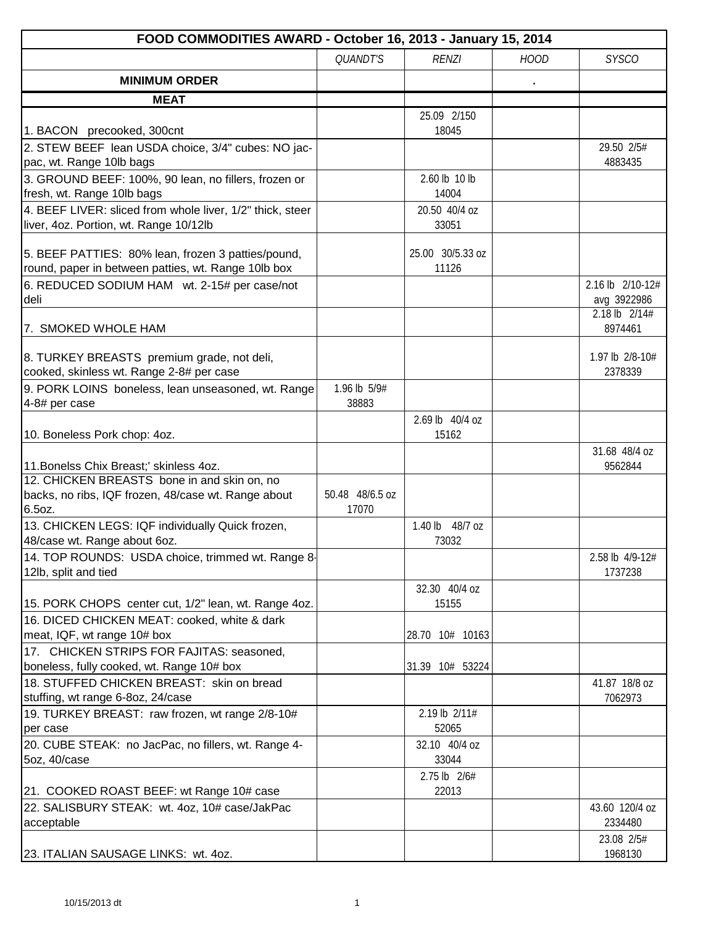| FOOD COMMODITIES AWARD - October 16, 2013 - January 15, 2014                                                                                 |                          |                           |             |                                 |
|----------------------------------------------------------------------------------------------------------------------------------------------|--------------------------|---------------------------|-------------|---------------------------------|
|                                                                                                                                              | <b>QUANDT'S</b>          | <b>RENZI</b>              | <b>HOOD</b> | <b>SYSCO</b>                    |
| <b>MINIMUM ORDER</b>                                                                                                                         |                          |                           |             |                                 |
| <b>MEAT</b>                                                                                                                                  |                          |                           |             |                                 |
|                                                                                                                                              |                          | 25.09 2/150               |             |                                 |
| 1. BACON precooked, 300cnt                                                                                                                   |                          | 18045                     |             |                                 |
| 2. STEW BEEF lean USDA choice, 3/4" cubes: NO jac-<br>pac, wt. Range 10lb bags                                                               |                          |                           |             | 29.50 2/5#<br>4883435           |
| 3. GROUND BEEF: 100%, 90 lean, no fillers, frozen or<br>fresh, wt. Range 10lb bags                                                           |                          | 2.60 lb 10 lb<br>14004    |             |                                 |
| 4. BEEF LIVER: sliced from whole liver, 1/2" thick, steer<br>liver, 4oz. Portion, wt. Range 10/12lb                                          |                          | 20.50 40/4 oz<br>33051    |             |                                 |
| 5. BEEF PATTIES: 80% lean, frozen 3 patties/pound,<br>round, paper in between patties, wt. Range 10lb box                                    |                          | 25.00 30/5.33 oz<br>11126 |             |                                 |
| 6. REDUCED SODIUM HAM wt. 2-15# per case/not<br>deli                                                                                         |                          |                           |             | 2.16 lb 2/10-12#<br>avg 3922986 |
| 7. SMOKED WHOLE HAM                                                                                                                          |                          |                           |             | 2.18 lb 2/14#<br>8974461        |
| 8. TURKEY BREASTS premium grade, not deli,<br>cooked, skinless wt. Range 2-8# per case<br>9. PORK LOINS boneless, lean unseasoned, wt. Range | 1.96 lb 5/9#             |                           |             | 1.97 lb 2/8-10#<br>2378339      |
| 4-8# per case<br>10. Boneless Pork chop: 4oz.                                                                                                | 38883                    | 2.69 lb 40/4 oz<br>15162  |             |                                 |
|                                                                                                                                              |                          |                           |             | 31.68 48/4 oz                   |
| 11. Bonelss Chix Breast;' skinless 4oz.                                                                                                      |                          |                           |             | 9562844                         |
| 12. CHICKEN BREASTS bone in and skin on, no                                                                                                  |                          |                           |             |                                 |
| backs, no ribs, IQF frozen, 48/case wt. Range about<br>6.5oz.                                                                                | 50.48 48/6.5 oz<br>17070 |                           |             |                                 |
| 13. CHICKEN LEGS: IQF individually Quick frozen,<br>48/case wt. Range about 6oz.                                                             |                          | 1.40 lb 48/7 oz<br>73032  |             |                                 |
| 14. TOP ROUNDS: USDA choice, trimmed wt. Range 8-<br>12lb, split and tied                                                                    |                          |                           |             | 2.58 lb 4/9-12#<br>1737238      |
| 15. PORK CHOPS center cut, 1/2" lean, wt. Range 4oz.                                                                                         |                          | 32.30 40/4 oz<br>15155    |             |                                 |
| 16. DICED CHICKEN MEAT: cooked, white & dark<br>meat, IQF, wt range 10# box                                                                  |                          | 28.70 10# 10163           |             |                                 |
| 17. CHICKEN STRIPS FOR FAJITAS: seasoned,<br>boneless, fully cooked, wt. Range 10# box                                                       |                          | 31.39 10# 53224           |             |                                 |
| 18. STUFFED CHICKEN BREAST: skin on bread                                                                                                    |                          |                           |             | 41.87 18/8 oz                   |
| stuffing, wt range 6-8oz, 24/case                                                                                                            |                          |                           |             | 7062973                         |
| 19. TURKEY BREAST: raw frozen, wt range 2/8-10#<br>per case                                                                                  |                          | 2.19 lb 2/11#<br>52065    |             |                                 |
| 20. CUBE STEAK: no JacPac, no fillers, wt. Range 4-                                                                                          |                          | 32.10 40/4 oz             |             |                                 |
| 5oz, 40/case                                                                                                                                 |                          | 33044                     |             |                                 |
| 21. COOKED ROAST BEEF: wt Range 10# case                                                                                                     |                          | 2.75 lb 2/6#<br>22013     |             |                                 |
| 22. SALISBURY STEAK: wt. 4oz, 10# case/JakPac<br>acceptable                                                                                  |                          |                           |             | 43.60 120/4 oz<br>2334480       |
| 23. ITALIAN SAUSAGE LINKS: wt. 4oz.                                                                                                          |                          |                           |             | 23.08 2/5#<br>1968130           |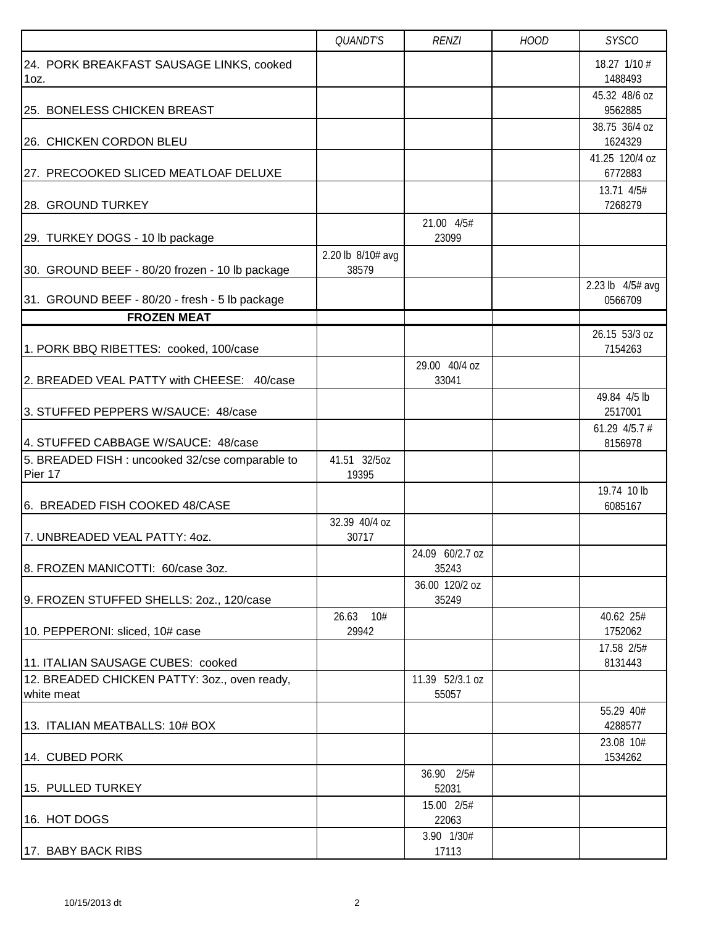|                                                            | <b>QUANDT'S</b>            | <b>RENZI</b>             | <b>HOOD</b> | <b>SYSCO</b>                |
|------------------------------------------------------------|----------------------------|--------------------------|-------------|-----------------------------|
| 24. PORK BREAKFAST SAUSAGE LINKS, cooked<br>$1oz$ .        |                            |                          |             | 18.27 1/10 #<br>1488493     |
| 25. BONELESS CHICKEN BREAST                                |                            |                          |             | 45.32 48/6 oz<br>9562885    |
| 26. CHICKEN CORDON BLEU                                    |                            |                          |             | 38.75 36/4 oz<br>1624329    |
| 27. PRECOOKED SLICED MEATLOAF DELUXE                       |                            |                          |             | 41.25 120/4 oz<br>6772883   |
| 28. GROUND TURKEY                                          |                            |                          |             | 13.71 4/5#<br>7268279       |
| 29. TURKEY DOGS - 10 lb package                            |                            | 21.00 4/5#<br>23099      |             |                             |
| 30. GROUND BEEF - 80/20 frozen - 10 lb package             | 2.20 lb 8/10# avg<br>38579 |                          |             |                             |
| 31. GROUND BEEF - 80/20 - fresh - 5 lb package             |                            |                          |             | 2.23 lb 4/5# avg<br>0566709 |
| <b>FROZEN MEAT</b>                                         |                            |                          |             |                             |
| 1. PORK BBQ RIBETTES: cooked, 100/case                     |                            |                          |             | 26.15 53/3 oz<br>7154263    |
| 2. BREADED VEAL PATTY with CHEESE: 40/case                 |                            | 29.00 40/4 oz<br>33041   |             |                             |
| 3. STUFFED PEPPERS W/SAUCE: 48/case                        |                            |                          |             | 49.84 4/5 lb<br>2517001     |
| 4. STUFFED CABBAGE W/SAUCE: 48/case                        |                            |                          |             | 61.29 $4/5.7$ #<br>8156978  |
| 5. BREADED FISH : uncooked 32/cse comparable to<br>Pier 17 | 41.51 32/5oz<br>19395      |                          |             |                             |
| 6. BREADED FISH COOKED 48/CASE                             |                            |                          |             | 19.74 10 lb<br>6085167      |
| 7. UNBREADED VEAL PATTY: 4oz.                              | 32.39 40/4 oz<br>30717     |                          |             |                             |
| 8. FROZEN MANICOTTI: 60/case 3oz.                          |                            | 24.09 60/2.7 oz<br>35243 |             |                             |
| 9. FROZEN STUFFED SHELLS: 20z., 120/case                   |                            | 36.00 120/2 oz<br>35249  |             |                             |
| 10. PEPPERONI: sliced, 10# case                            | 26.63<br>10#<br>29942      |                          |             | 40.62 25#<br>1752062        |
| 11. ITALIAN SAUSAGE CUBES: cooked                          |                            |                          |             | 17.58 2/5#<br>8131443       |
| 12. BREADED CHICKEN PATTY: 3oz., oven ready,<br>white meat |                            | 11.39 52/3.1 oz<br>55057 |             |                             |
| 13. ITALIAN MEATBALLS: 10# BOX                             |                            |                          |             | 55.29 40#<br>4288577        |
| 14. CUBED PORK                                             |                            |                          |             | 23.08 10#<br>1534262        |
| 15. PULLED TURKEY                                          |                            | 36.90 2/5#<br>52031      |             |                             |
| 16. HOT DOGS                                               |                            | 15.00 2/5#<br>22063      |             |                             |
| 17. BABY BACK RIBS                                         |                            | 3.90 1/30#<br>17113      |             |                             |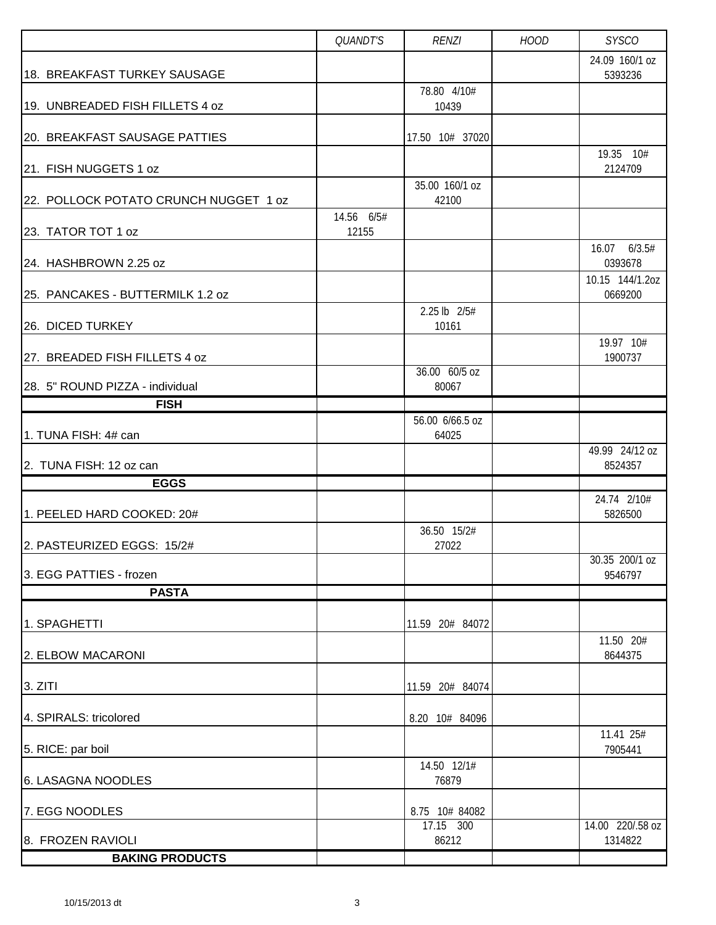|                                       | QUANDT'S   | <b>RENZI</b>             | <b>HOOD</b> | <b>SYSCO</b>                |
|---------------------------------------|------------|--------------------------|-------------|-----------------------------|
| 18. BREAKFAST TURKEY SAUSAGE          |            |                          |             | 24.09 160/1 oz<br>5393236   |
| 19. UNBREADED FISH FILLETS 4 oz       |            | 78.80 4/10#<br>10439     |             |                             |
| 20. BREAKFAST SAUSAGE PATTIES         |            | 17.50 10# 37020          |             |                             |
| 21. FISH NUGGETS 1 oz                 |            |                          |             | 19.35 10#<br>2124709        |
|                                       |            | 35.00 160/1 oz           |             |                             |
| 22. POLLOCK POTATO CRUNCH NUGGET 1 oz | 14.56 6/5# | 42100                    |             |                             |
| 23. TATOR TOT 1 oz                    | 12155      |                          |             |                             |
| 24. HASHBROWN 2.25 oz                 |            |                          |             | 16.07 6/3.5#<br>0393678     |
| 25. PANCAKES - BUTTERMILK 1.2 oz      |            |                          |             | 10.15 144/1.2oz<br>0669200  |
| 26. DICED TURKEY                      |            | 2.25 lb 2/5#<br>10161    |             |                             |
| 27. BREADED FISH FILLETS 4 oz         |            |                          |             | 19.97 10#<br>1900737        |
| 28. 5" ROUND PIZZA - individual       |            | 36.00 60/5 oz<br>80067   |             |                             |
| <b>FISH</b>                           |            |                          |             |                             |
| 1. TUNA FISH: 4# can                  |            | 56.00 6/66.5 oz<br>64025 |             |                             |
| 2. TUNA FISH: 12 oz can               |            |                          |             | 49.99 24/12 oz<br>8524357   |
| <b>EGGS</b>                           |            |                          |             |                             |
| 1. PEELED HARD COOKED: 20#            |            |                          |             | 24.74 2/10#<br>5826500      |
| 2. PASTEURIZED EGGS: 15/2#            |            | 36.50 15/2#<br>27022     |             |                             |
| 3. EGG PATTIES - frozen               |            |                          |             | 30.35 200/1 oz<br>9546797   |
| <b>PASTA</b>                          |            |                          |             |                             |
| 1. SPAGHETTI                          |            | 11.59 20# 84072          |             |                             |
| 2. ELBOW MACARONI                     |            |                          |             | 11.50 20#<br>8644375        |
| 3. ZITI                               |            | 11.59 20# 84074          |             |                             |
| 4. SPIRALS: tricolored                |            | 8.20 10# 84096           |             |                             |
| 5. RICE: par boil                     |            |                          |             | 11.41 25#<br>7905441        |
| 6. LASAGNA NOODLES                    |            | 14.50 12/1#<br>76879     |             |                             |
| 7. EGG NOODLES                        |            | 8.75 10# 84082           |             |                             |
| 8. FROZEN RAVIOLI                     |            | 17.15 300<br>86212       |             | 14.00 220/.58 oz<br>1314822 |
| <b>BAKING PRODUCTS</b>                |            |                          |             |                             |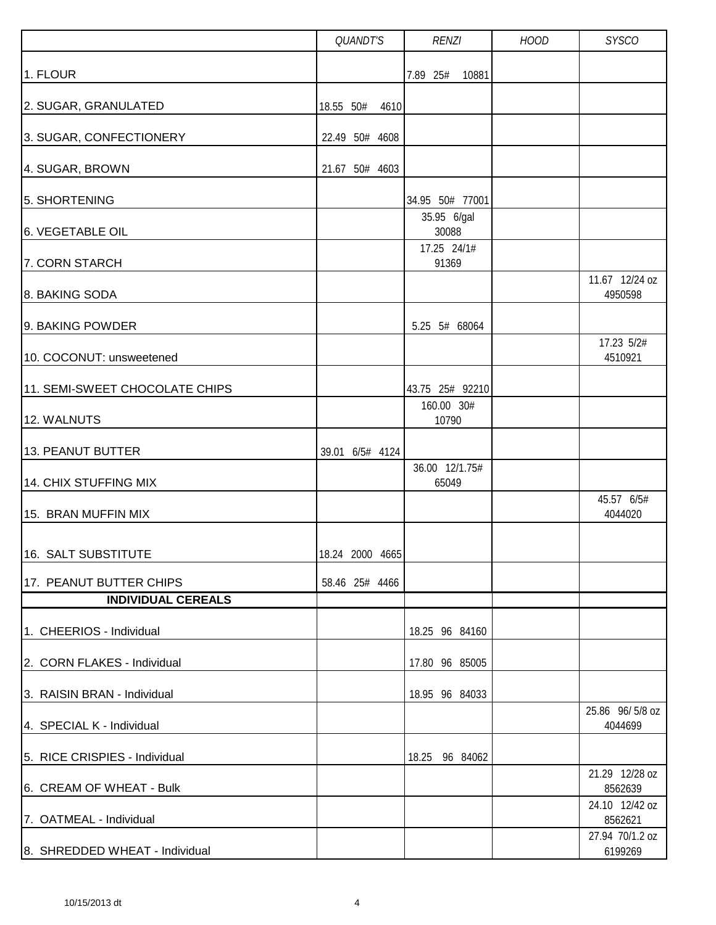|                                | QUANDT'S          | <b>RENZI</b>            | <b>HOOD</b> | <b>SYSCO</b>               |
|--------------------------------|-------------------|-------------------------|-------------|----------------------------|
| 1. FLOUR                       |                   | 7.89 25#<br>10881       |             |                            |
| 2. SUGAR, GRANULATED           | 18.55 50#<br>4610 |                         |             |                            |
| 3. SUGAR, CONFECTIONERY        | 22.49 50# 4608    |                         |             |                            |
| 4. SUGAR, BROWN                | 21.67 50# 4603    |                         |             |                            |
| 5. SHORTENING                  |                   | 34.95 50# 77001         |             |                            |
| 6. VEGETABLE OIL               |                   | 35.95 6/gal<br>30088    |             |                            |
| 7. CORN STARCH                 |                   | 17.25 24/1#<br>91369    |             |                            |
| 8. BAKING SODA                 |                   |                         |             | 11.67 12/24 oz<br>4950598  |
| 9. BAKING POWDER               |                   | 5.25 5# 68064           |             |                            |
| 10. COCONUT: unsweetened       |                   |                         |             | 17.23 5/2#<br>4510921      |
| 11. SEMI-SWEET CHOCOLATE CHIPS |                   | 43.75 25# 92210         |             |                            |
| 12. WALNUTS                    |                   | 160.00 30#<br>10790     |             |                            |
| 13. PEANUT BUTTER              | 39.01 6/5# 4124   |                         |             |                            |
| 14. CHIX STUFFING MIX          |                   | 36.00 12/1.75#<br>65049 |             |                            |
| 15. BRAN MUFFIN MIX            |                   |                         |             | 45.57 6/5#<br>4044020      |
| 16. SALT SUBSTITUTE            | 18.24 2000 4665   |                         |             |                            |
| 17. PEANUT BUTTER CHIPS        | 58.46 25# 4466    |                         |             |                            |
| <b>INDIVIDUAL CEREALS</b>      |                   |                         |             |                            |
| 1. CHEERIOS - Individual       |                   | 18.25 96 84160          |             |                            |
| 2. CORN FLAKES - Individual    |                   | 17.80 96 85005          |             |                            |
| 3. RAISIN BRAN - Individual    |                   | 18.95 96 84033          |             |                            |
| 4. SPECIAL K - Individual      |                   |                         |             | 25.86 96/5/8 oz<br>4044699 |
| 5. RICE CRISPIES - Individual  |                   | 18.25 96 84062          |             |                            |
| 6. CREAM OF WHEAT - Bulk       |                   |                         |             | 21.29 12/28 oz<br>8562639  |
| 7. OATMEAL - Individual        |                   |                         |             | 24.10 12/42 oz<br>8562621  |
| 8. SHREDDED WHEAT - Individual |                   |                         |             | 27.94 70/1.2 oz<br>6199269 |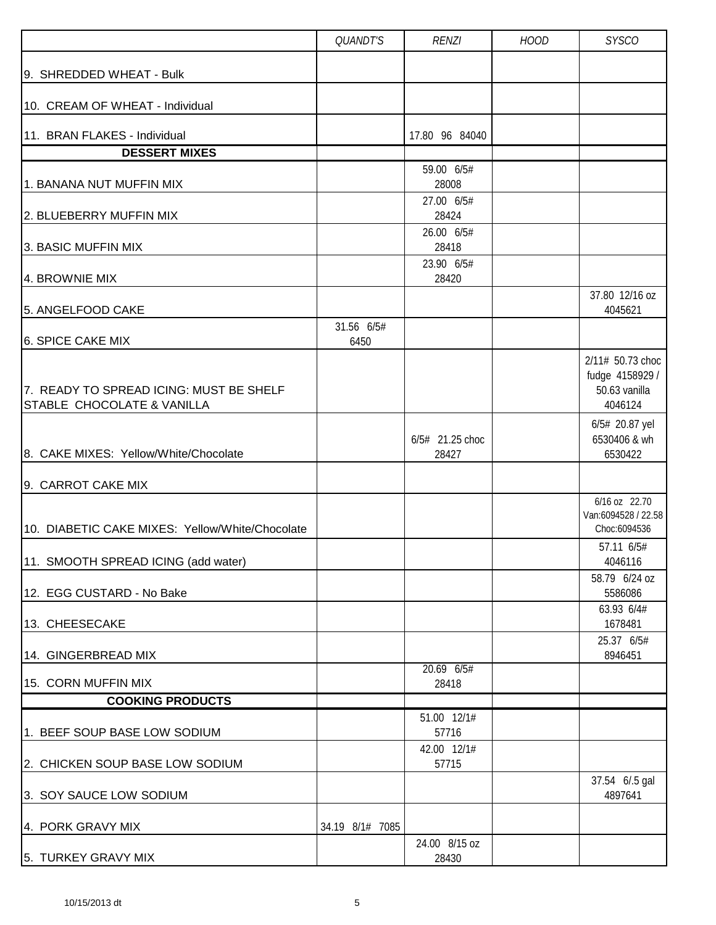|                                                                       | QUANDT'S           | <b>RENZI</b>             | <b>HOOD</b> | <b>SYSCO</b>                                                    |
|-----------------------------------------------------------------------|--------------------|--------------------------|-------------|-----------------------------------------------------------------|
| 9. SHREDDED WHEAT - Bulk                                              |                    |                          |             |                                                                 |
| 10. CREAM OF WHEAT - Individual                                       |                    |                          |             |                                                                 |
| 11. BRAN FLAKES - Individual                                          |                    | 17.80 96 84040           |             |                                                                 |
| <b>DESSERT MIXES</b>                                                  |                    |                          |             |                                                                 |
| 1. BANANA NUT MUFFIN MIX                                              |                    | 59.00 6/5#<br>28008      |             |                                                                 |
| 2. BLUEBERRY MUFFIN MIX                                               |                    | 27.00 6/5#<br>28424      |             |                                                                 |
| 3. BASIC MUFFIN MIX                                                   |                    | 26.00 6/5#<br>28418      |             |                                                                 |
| 4. BROWNIE MIX                                                        |                    | 23.90 6/5#<br>28420      |             |                                                                 |
| 5. ANGELFOOD CAKE                                                     |                    |                          |             | 37.80 12/16 oz<br>4045621                                       |
| <b>6. SPICE CAKE MIX</b>                                              | 31.56 6/5#<br>6450 |                          |             |                                                                 |
| 7. READY TO SPREAD ICING: MUST BE SHELF<br>STABLE CHOCOLATE & VANILLA |                    |                          |             | 2/11# 50.73 choc<br>fudge 4158929 /<br>50.63 vanilla<br>4046124 |
| 8. CAKE MIXES: Yellow/White/Chocolate<br>9. CARROT CAKE MIX           |                    | 6/5# 21.25 choc<br>28427 |             | 6/5# 20.87 yel<br>6530406 & wh<br>6530422                       |
| 10. DIABETIC CAKE MIXES: Yellow/White/Chocolate                       |                    |                          |             | 6/16 oz 22.70<br>Van:6094528 / 22.58<br>Choc:6094536            |
| 11. SMOOTH SPREAD ICING (add water)                                   |                    |                          |             | 57.11 6/5#<br>4046116<br>58.79 6/24 oz                          |
| 12. EGG CUSTARD - No Bake<br>13. CHEESECAKE                           |                    |                          |             | 5586086<br>63.93 6/4#<br>1678481                                |
| 14. GINGERBREAD MIX                                                   |                    |                          |             | 25.37 6/5#<br>8946451                                           |
| 15. CORN MUFFIN MIX                                                   |                    | 20.69 6/5#<br>28418      |             |                                                                 |
| <b>COOKING PRODUCTS</b>                                               |                    |                          |             |                                                                 |
| 1. BEEF SOUP BASE LOW SODIUM                                          |                    | 51.00 12/1#<br>57716     |             |                                                                 |
| 2. CHICKEN SOUP BASE LOW SODIUM                                       |                    | 42.00 12/1#<br>57715     |             |                                                                 |
| 3. SOY SAUCE LOW SODIUM                                               |                    |                          |             | 37.54 6/.5 gal<br>4897641                                       |
| 4. PORK GRAVY MIX                                                     | 34.19 8/1# 7085    |                          |             |                                                                 |
| 5. TURKEY GRAVY MIX                                                   |                    | 24.00 8/15 oz<br>28430   |             |                                                                 |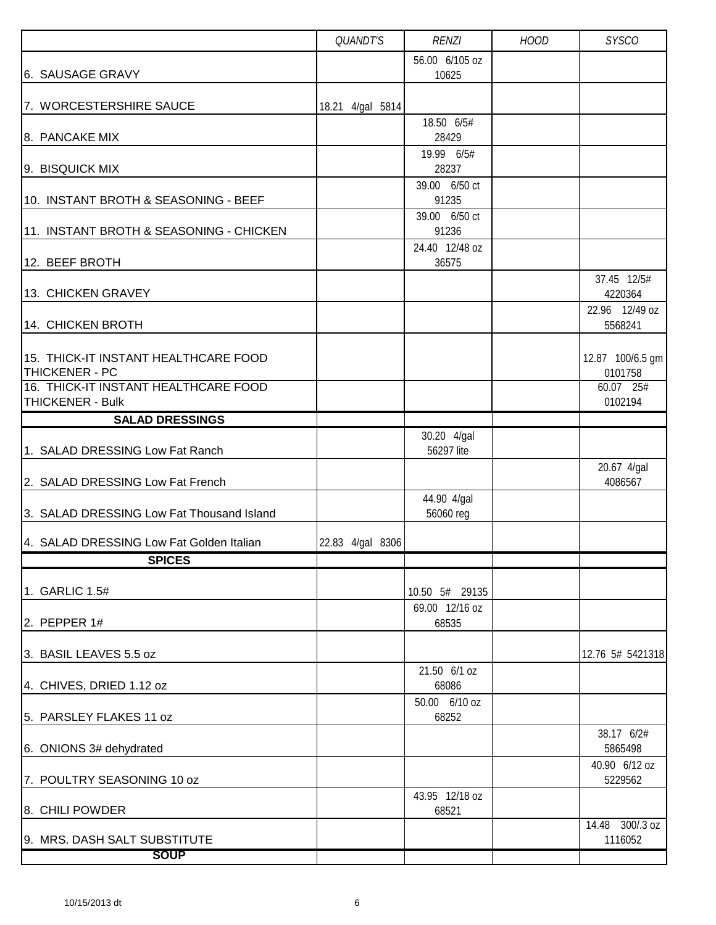|                                                                 | QUANDT'S         | <b>RENZI</b>              | <b>HOOD</b> | <b>SYSCO</b>                |
|-----------------------------------------------------------------|------------------|---------------------------|-------------|-----------------------------|
| 6. SAUSAGE GRAVY                                                |                  | 56.00 6/105 oz<br>10625   |             |                             |
| 7. WORCESTERSHIRE SAUCE                                         | 18.21 4/gal 5814 |                           |             |                             |
| 8. PANCAKE MIX                                                  |                  | 18.50 6/5#<br>28429       |             |                             |
| 9. BISQUICK MIX                                                 |                  | 19.99 6/5#<br>28237       |             |                             |
| 10. INSTANT BROTH & SEASONING - BEEF                            |                  | 39.00 6/50 ct<br>91235    |             |                             |
| 11. INSTANT BROTH & SEASONING - CHICKEN                         |                  | 39.00 6/50 ct<br>91236    |             |                             |
| 12. BEEF BROTH                                                  |                  | 24.40 12/48 oz<br>36575   |             |                             |
| 13. CHICKEN GRAVEY                                              |                  |                           |             | 37.45 12/5#<br>4220364      |
| 14. CHICKEN BROTH                                               |                  |                           |             | 22.96 12/49 oz<br>5568241   |
| 15. THICK-IT INSTANT HEALTHCARE FOOD<br>THICKENER - PC          |                  |                           |             | 12.87 100/6.5 gm<br>0101758 |
| 16. THICK-IT INSTANT HEALTHCARE FOOD<br><b>THICKENER - Bulk</b> |                  |                           |             | 60.07 25#<br>0102194        |
| <b>SALAD DRESSINGS</b>                                          |                  |                           |             |                             |
| 1. SALAD DRESSING Low Fat Ranch                                 |                  | 30.20 4/gal<br>56297 lite |             |                             |
| 2. SALAD DRESSING Low Fat French                                |                  |                           |             | 20.67 4/gal<br>4086567      |
| 3. SALAD DRESSING Low Fat Thousand Island                       |                  | 44.90 4/gal<br>56060 reg  |             |                             |
| 4. SALAD DRESSING Low Fat Golden Italian                        | 22.83 4/gal 8306 |                           |             |                             |
| <b>SPICES</b>                                                   |                  |                           |             |                             |
| 1. GARLIC 1.5#                                                  |                  | 10.50 5# 29135            |             |                             |
| 2. PEPPER 1#                                                    |                  | 69.00 12/16 oz<br>68535   |             |                             |
| 3. BASIL LEAVES 5.5 oz                                          |                  |                           |             | 12.76 5# 5421318            |
| 4. CHIVES, DRIED 1.12 oz                                        |                  | 21.50 6/1 oz<br>68086     |             |                             |
| 5. PARSLEY FLAKES 11 oz                                         |                  | 50.00 6/10 oz<br>68252    |             |                             |
| 6. ONIONS 3# dehydrated                                         |                  |                           |             | 38.17 6/2#<br>5865498       |
| 7. POULTRY SEASONING 10 oz                                      |                  |                           |             | 40.90 6/12 oz<br>5229562    |
| 8. CHILI POWDER                                                 |                  | 43.95 12/18 oz<br>68521   |             |                             |
| 9. MRS. DASH SALT SUBSTITUTE                                    |                  |                           |             | 14.48 300/.3 oz<br>1116052  |
| <b>SOUP</b>                                                     |                  |                           |             |                             |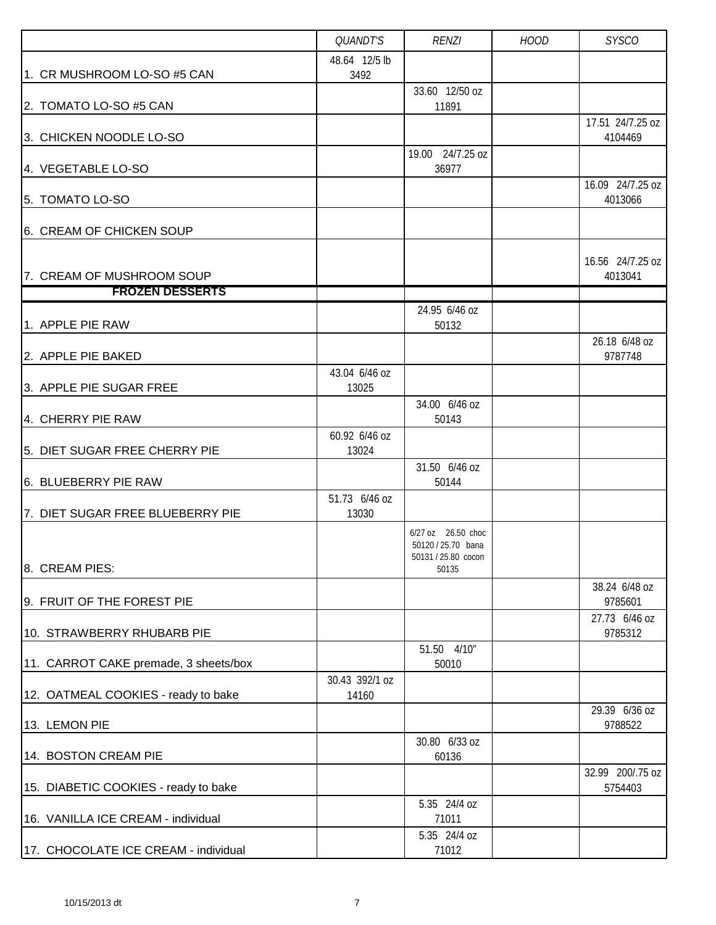|                                       | QUANDT'S                | <b>RENZI</b>                                                             | <b>HOOD</b> | <b>SYSCO</b>                |
|---------------------------------------|-------------------------|--------------------------------------------------------------------------|-------------|-----------------------------|
| 1. CR MUSHROOM LO-SO #5 CAN           | 48.64 12/5 lb<br>3492   |                                                                          |             |                             |
| 2. TOMATO LO-SO #5 CAN                |                         | 33.60 12/50 oz<br>11891                                                  |             |                             |
|                                       |                         |                                                                          |             | 17.51 24/7.25 oz            |
| 3. CHICKEN NOODLE LO-SO               |                         | 19.00 24/7.25 oz                                                         |             | 4104469                     |
| 4. VEGETABLE LO-SO                    |                         | 36977                                                                    |             |                             |
| 5. TOMATO LO-SO                       |                         |                                                                          |             | 16.09 24/7.25 oz<br>4013066 |
| 6. CREAM OF CHICKEN SOUP              |                         |                                                                          |             |                             |
| 7. CREAM OF MUSHROOM SOUP             |                         |                                                                          |             | 16.56 24/7.25 oz<br>4013041 |
| <b>FROZEN DESSERTS</b>                |                         |                                                                          |             |                             |
| 1. APPLE PIE RAW                      |                         | 24.95 6/46 oz<br>50132                                                   |             |                             |
| 2. APPLE PIE BAKED                    |                         |                                                                          |             | 26.18 6/48 oz<br>9787748    |
|                                       | 43.04 6/46 oz           |                                                                          |             |                             |
| 3. APPLE PIE SUGAR FREE               | 13025                   |                                                                          |             |                             |
| 4. CHERRY PIE RAW                     |                         | 34.00 6/46 oz<br>50143                                                   |             |                             |
| 5. DIET SUGAR FREE CHERRY PIE         | 60.92 6/46 oz<br>13024  |                                                                          |             |                             |
| 6. BLUEBERRY PIE RAW                  |                         | 31.50 6/46 oz<br>50144                                                   |             |                             |
| 7. DIET SUGAR FREE BLUEBERRY PIE      | 51.73 6/46 oz<br>13030  |                                                                          |             |                             |
| 8. CREAM PIES:                        |                         | 6/27 oz 26.50 choc<br>50120 / 25.70 bana<br>50131 / 25.80 cocon<br>50135 |             |                             |
| 9. FRUIT OF THE FOREST PIE            |                         |                                                                          |             | 38.24 6/48 oz<br>9785601    |
| 10. STRAWBERRY RHUBARB PIE            |                         |                                                                          |             | 27.73 6/46 oz<br>9785312    |
|                                       |                         | 51.50 4/10"                                                              |             |                             |
| 11. CARROT CAKE premade, 3 sheets/box |                         | 50010                                                                    |             |                             |
| 12. OATMEAL COOKIES - ready to bake   | 30.43 392/1 oz<br>14160 |                                                                          |             |                             |
| 13. LEMON PIE                         |                         |                                                                          |             | 29.39 6/36 oz<br>9788522    |
| 14. BOSTON CREAM PIE                  |                         | 30.80 6/33 oz<br>60136                                                   |             |                             |
| 15. DIABETIC COOKIES - ready to bake  |                         |                                                                          |             | 32.99 200/.75 oz<br>5754403 |
| 16. VANILLA ICE CREAM - individual    |                         | 5.35 24/4 oz<br>71011                                                    |             |                             |
| 17. CHOCOLATE ICE CREAM - individual  |                         | 5.35 24/4 oz<br>71012                                                    |             |                             |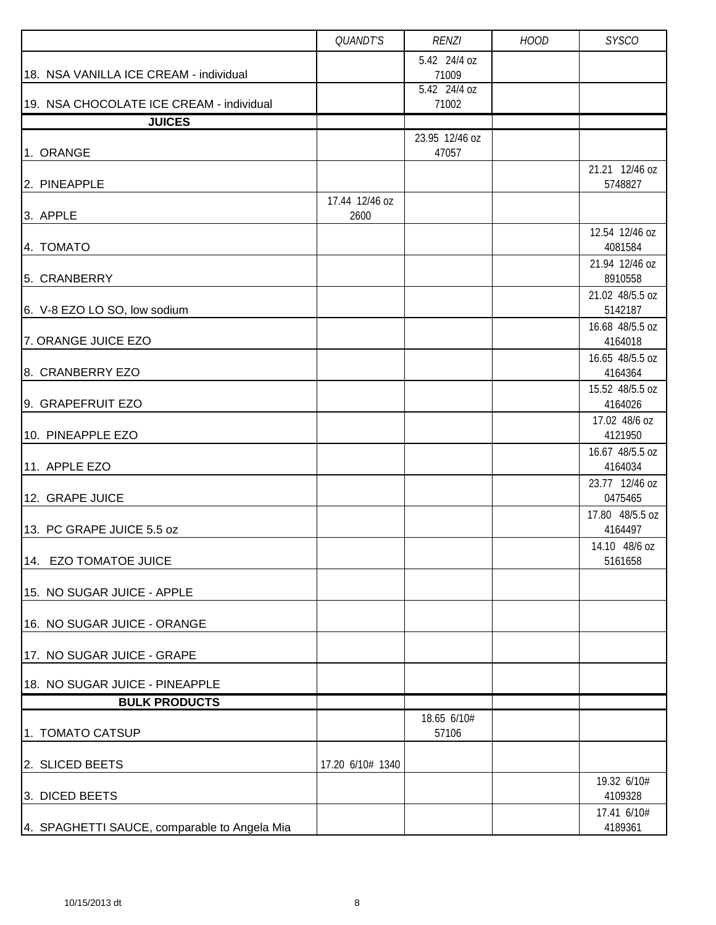|                                              | QUANDT'S         | <b>RENZI</b>            | <b>HOOD</b> | <b>SYSCO</b>               |
|----------------------------------------------|------------------|-------------------------|-------------|----------------------------|
|                                              |                  | 5.42 24/4 oz            |             |                            |
| 18. NSA VANILLA ICE CREAM - individual       |                  | 71009<br>5.42 24/4 oz   |             |                            |
| 19. NSA CHOCOLATE ICE CREAM - individual     |                  | 71002                   |             |                            |
| <b>JUICES</b>                                |                  |                         |             |                            |
| 1. ORANGE                                    |                  | 23.95 12/46 oz<br>47057 |             |                            |
| 2. PINEAPPLE                                 |                  |                         |             | 21.21 12/46 oz<br>5748827  |
|                                              | 17.44 12/46 oz   |                         |             |                            |
| 3. APPLE                                     | 2600             |                         |             |                            |
| 4. TOMATO                                    |                  |                         |             | 12.54 12/46 oz<br>4081584  |
| 5. CRANBERRY                                 |                  |                         |             | 21.94 12/46 oz<br>8910558  |
|                                              |                  |                         |             | 21.02 48/5.5 oz            |
| 6. V-8 EZO LO SO, low sodium                 |                  |                         |             | 5142187                    |
| 7. ORANGE JUICE EZO                          |                  |                         |             | 16.68 48/5.5 oz<br>4164018 |
|                                              |                  |                         |             | 16.65 48/5.5 oz            |
| 8. CRANBERRY EZO                             |                  |                         |             | 4164364                    |
| 9. GRAPEFRUIT EZO                            |                  |                         |             | 15.52 48/5.5 oz<br>4164026 |
|                                              |                  |                         |             | 17.02 48/6 oz              |
| 10. PINEAPPLE EZO                            |                  |                         |             | 4121950                    |
| 11. APPLE EZO                                |                  |                         |             | 16.67 48/5.5 oz<br>4164034 |
| 12. GRAPE JUICE                              |                  |                         |             | 23.77 12/46 oz<br>0475465  |
|                                              |                  |                         |             | 17.80 48/5.5 oz            |
| 13. PC GRAPE JUICE 5.5 oz                    |                  |                         |             | 4164497<br>14.10 48/6 oz   |
| 14. EZO TOMATOE JUICE                        |                  |                         |             | 5161658                    |
| 15. NO SUGAR JUICE - APPLE                   |                  |                         |             |                            |
| 16. NO SUGAR JUICE - ORANGE                  |                  |                         |             |                            |
| 17. NO SUGAR JUICE - GRAPE                   |                  |                         |             |                            |
| 18. NO SUGAR JUICE - PINEAPPLE               |                  |                         |             |                            |
| <b>BULK PRODUCTS</b>                         |                  |                         |             |                            |
| 1. TOMATO CATSUP                             |                  | 18.65 6/10#<br>57106    |             |                            |
| 2. SLICED BEETS                              | 17.20 6/10# 1340 |                         |             |                            |
| 3. DICED BEETS                               |                  |                         |             | 19.32 6/10#<br>4109328     |
| 4. SPAGHETTI SAUCE, comparable to Angela Mia |                  |                         |             | 17.41 6/10#<br>4189361     |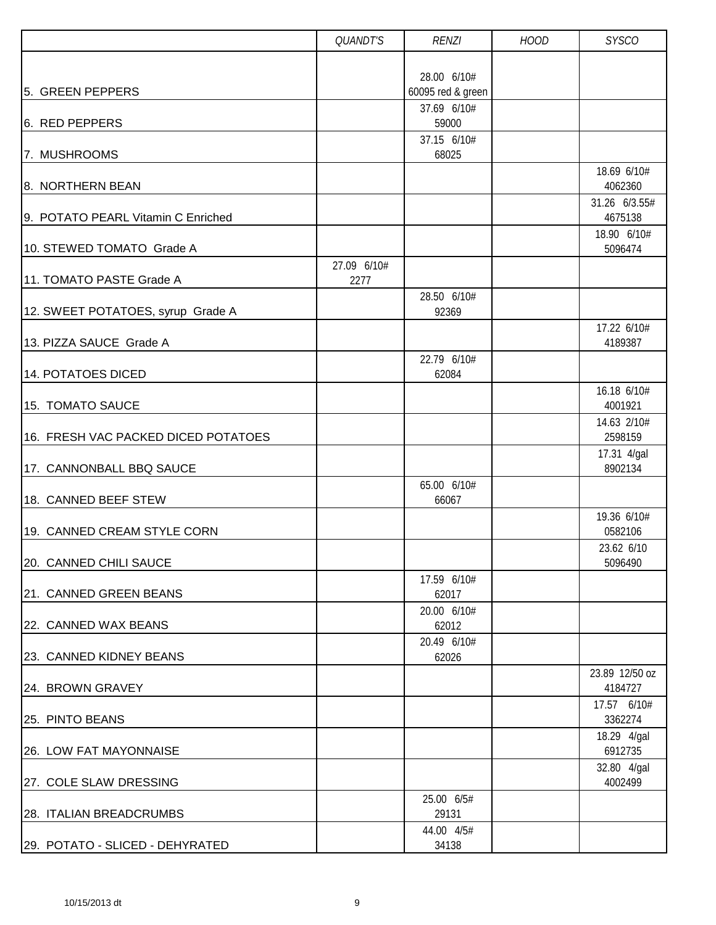|                                     | QUANDT'S            | <b>RENZI</b>                     | <b>HOOD</b> | <b>SYSCO</b>              |
|-------------------------------------|---------------------|----------------------------------|-------------|---------------------------|
|                                     |                     |                                  |             |                           |
| 5. GREEN PEPPERS                    |                     | 28.00 6/10#<br>60095 red & green |             |                           |
|                                     |                     | 37.69 6/10#                      |             |                           |
| 6. RED PEPPERS                      |                     | 59000                            |             |                           |
| 7. MUSHROOMS                        |                     | 37.15 6/10#<br>68025             |             |                           |
| 8. NORTHERN BEAN                    |                     |                                  |             | 18.69 6/10#<br>4062360    |
| 9. POTATO PEARL Vitamin C Enriched  |                     |                                  |             | 31.26 6/3.55#<br>4675138  |
| 10. STEWED TOMATO Grade A           |                     |                                  |             | 18.90 6/10#<br>5096474    |
| 11. TOMATO PASTE Grade A            | 27.09 6/10#<br>2277 |                                  |             |                           |
|                                     |                     | 28.50 6/10#                      |             |                           |
| 12. SWEET POTATOES, syrup Grade A   |                     | 92369                            |             |                           |
| 13. PIZZA SAUCE Grade A             |                     |                                  |             | 17.22 6/10#<br>4189387    |
|                                     |                     | 22.79 6/10#                      |             |                           |
| <b>14. POTATOES DICED</b>           |                     | 62084                            |             |                           |
| 15. TOMATO SAUCE                    |                     |                                  |             | 16.18 6/10#<br>4001921    |
| 16. FRESH VAC PACKED DICED POTATOES |                     |                                  |             | 14.63 2/10#<br>2598159    |
| 17. CANNONBALL BBQ SAUCE            |                     |                                  |             | 17.31 4/gal<br>8902134    |
| 18. CANNED BEEF STEW                |                     | 65.00 6/10#<br>66067             |             |                           |
| 19. CANNED CREAM STYLE CORN         |                     |                                  |             | 19.36 6/10#<br>0582106    |
| 20. CANNED CHILI SAUCE              |                     |                                  |             | 23.62 6/10<br>5096490     |
| 21. CANNED GREEN BEANS              |                     | 17.59 6/10#<br>62017             |             |                           |
| 22. CANNED WAX BEANS                |                     | 20.00 6/10#<br>62012             |             |                           |
| 23. CANNED KIDNEY BEANS             |                     | 20.49 6/10#<br>62026             |             |                           |
| 24. BROWN GRAVEY                    |                     |                                  |             | 23.89 12/50 oz<br>4184727 |
| 25. PINTO BEANS                     |                     |                                  |             | 17.57 6/10#<br>3362274    |
| 26. LOW FAT MAYONNAISE              |                     |                                  |             | 18.29 4/gal<br>6912735    |
| 27. COLE SLAW DRESSING              |                     |                                  |             | 32.80 4/gal<br>4002499    |
| 28. ITALIAN BREADCRUMBS             |                     | 25.00 6/5#<br>29131              |             |                           |
| 29. POTATO - SLICED - DEHYRATED     |                     | 44.00 4/5#<br>34138              |             |                           |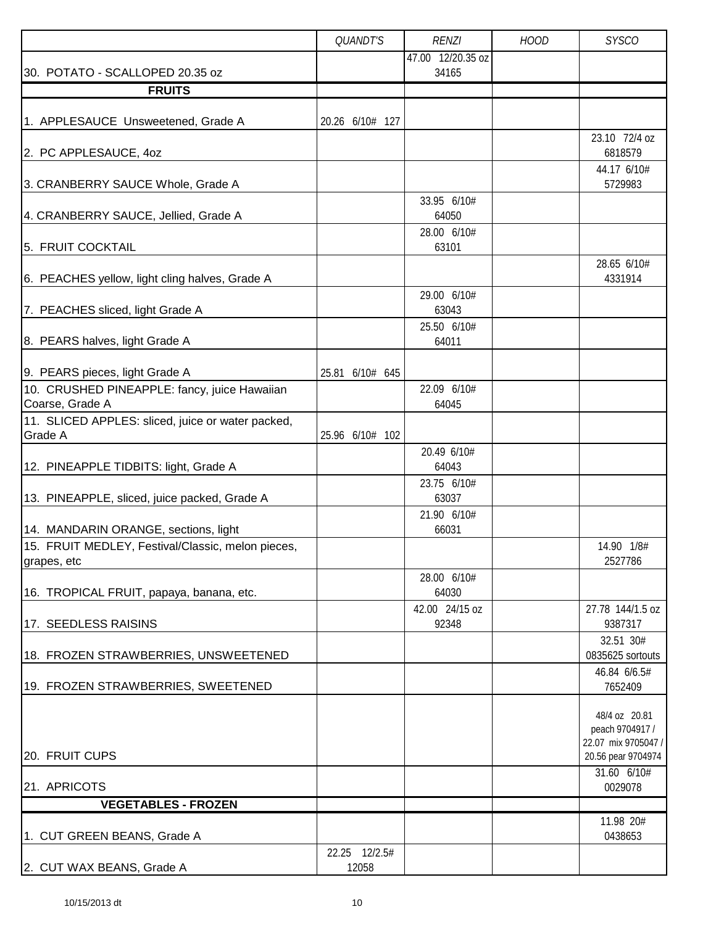|                                                                                                   | QUANDT'S               | <b>RENZI</b>            | <b>HOOD</b> | <b>SYSCO</b>                                                                  |
|---------------------------------------------------------------------------------------------------|------------------------|-------------------------|-------------|-------------------------------------------------------------------------------|
|                                                                                                   |                        | 47.00 12/20.35 oz       |             |                                                                               |
| 30. POTATO - SCALLOPED 20.35 oz                                                                   |                        | 34165                   |             |                                                                               |
| <b>FRUITS</b>                                                                                     |                        |                         |             |                                                                               |
| 1. APPLESAUCE Unsweetened, Grade A                                                                | 20.26 6/10# 127        |                         |             |                                                                               |
| 2. PC APPLESAUCE, 40Z                                                                             |                        |                         |             | 23.10 72/4 oz<br>6818579                                                      |
| 3. CRANBERRY SAUCE Whole, Grade A                                                                 |                        |                         |             | 44.17 6/10#<br>5729983                                                        |
| 4. CRANBERRY SAUCE, Jellied, Grade A                                                              |                        | 33.95 6/10#<br>64050    |             |                                                                               |
| 5. FRUIT COCKTAIL                                                                                 |                        | 28.00 6/10#<br>63101    |             |                                                                               |
| 6. PEACHES yellow, light cling halves, Grade A                                                    |                        |                         |             | 28.65 6/10#<br>4331914                                                        |
| 7. PEACHES sliced, light Grade A                                                                  |                        | 29.00 6/10#<br>63043    |             |                                                                               |
| 8. PEARS halves, light Grade A                                                                    |                        | 25.50 6/10#<br>64011    |             |                                                                               |
| 9. PEARS pieces, light Grade A<br>10. CRUSHED PINEAPPLE: fancy, juice Hawaiian<br>Coarse, Grade A | 25.81 6/10# 645        | 22.09 6/10#<br>64045    |             |                                                                               |
| 11. SLICED APPLES: sliced, juice or water packed,<br>Grade A                                      | 25.96 6/10# 102        |                         |             |                                                                               |
| 12. PINEAPPLE TIDBITS: light, Grade A                                                             |                        | 20.49 6/10#<br>64043    |             |                                                                               |
| 13. PINEAPPLE, sliced, juice packed, Grade A                                                      |                        | 23.75 6/10#<br>63037    |             |                                                                               |
| 14. MANDARIN ORANGE, sections, light                                                              |                        | 21.90 6/10#<br>66031    |             |                                                                               |
| 15. FRUIT MEDLEY, Festival/Classic, melon pieces,<br>grapes, etc                                  |                        |                         |             | 14.90 1/8#<br>2527786                                                         |
| 16. TROPICAL FRUIT, papaya, banana, etc.                                                          |                        | 28.00 6/10#<br>64030    |             |                                                                               |
| 17. SEEDLESS RAISINS                                                                              |                        | 42.00 24/15 oz<br>92348 |             | 27.78 144/1.5 oz<br>9387317                                                   |
| 18. FROZEN STRAWBERRIES, UNSWEETENED                                                              |                        |                         |             | 32.51 30#<br>0835625 sortouts                                                 |
| 19. FROZEN STRAWBERRIES, SWEETENED                                                                |                        |                         |             | 46.84 6/6.5#<br>7652409                                                       |
| 20. FRUIT CUPS                                                                                    |                        |                         |             | 48/4 oz 20.81<br>peach 9704917 /<br>22.07 mix 9705047 /<br>20.56 pear 9704974 |
| 21. APRICOTS                                                                                      |                        |                         |             | 31.60 6/10#<br>0029078                                                        |
| <b>VEGETABLES - FROZEN</b>                                                                        |                        |                         |             |                                                                               |
| 1. CUT GREEN BEANS, Grade A                                                                       |                        |                         |             | 11.98 20#<br>0438653                                                          |
| 2. CUT WAX BEANS, Grade A                                                                         | 22.25 12/2.5#<br>12058 |                         |             |                                                                               |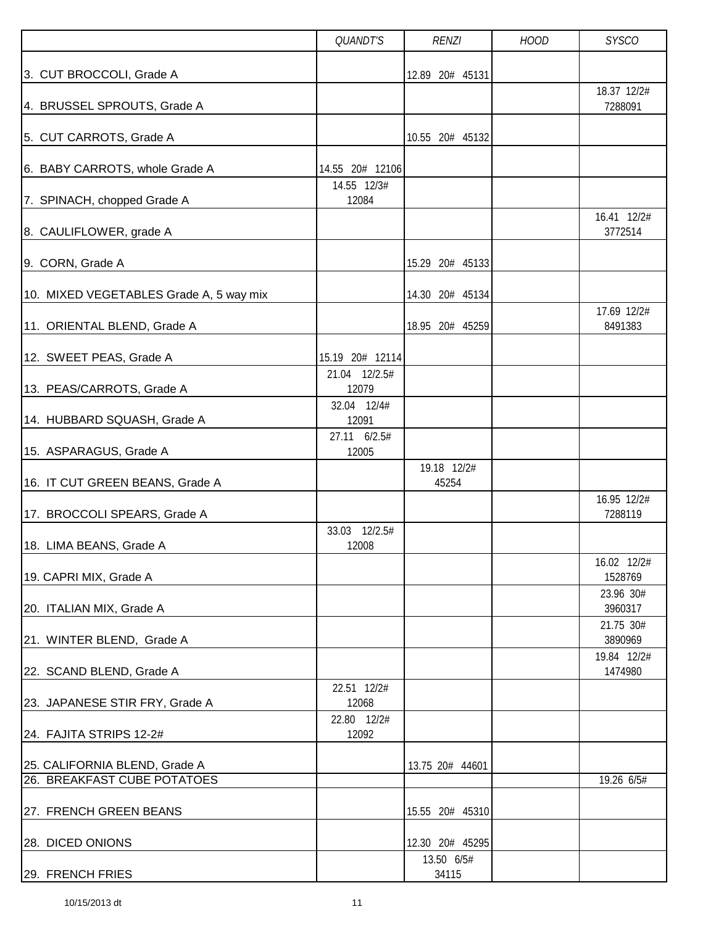|                                         | QUANDT'S               | <b>RENZI</b>         | <b>HOOD</b> | <b>SYSCO</b>                        |
|-----------------------------------------|------------------------|----------------------|-------------|-------------------------------------|
| 3. CUT BROCCOLI, Grade A                |                        | 12.89 20# 45131      |             | 18.37 12/2#                         |
| 4. BRUSSEL SPROUTS, Grade A             |                        |                      |             | 7288091                             |
| 5. CUT CARROTS, Grade A                 |                        | 10.55 20# 45132      |             |                                     |
| 6. BABY CARROTS, whole Grade A          | 14.55 20# 12106        |                      |             |                                     |
| 7. SPINACH, chopped Grade A             | 14.55 12/3#<br>12084   |                      |             |                                     |
| 8. CAULIFLOWER, grade A                 |                        |                      |             | 16.41 12/2#<br>3772514              |
| 9. CORN, Grade A                        |                        | 15.29 20# 45133      |             |                                     |
| 10. MIXED VEGETABLES Grade A, 5 way mix |                        | 14.30 20# 45134      |             |                                     |
| 11. ORIENTAL BLEND, Grade A             |                        | 18.95 20# 45259      |             | 17.69 12/2#<br>8491383              |
| 12. SWEET PEAS, Grade A                 | 15.19 20# 12114        |                      |             |                                     |
| 13. PEAS/CARROTS, Grade A               | 21.04 12/2.5#<br>12079 |                      |             |                                     |
| 14. HUBBARD SQUASH, Grade A             | 32.04 12/4#<br>12091   |                      |             |                                     |
| 15. ASPARAGUS, Grade A                  | 27.11 6/2.5#<br>12005  |                      |             |                                     |
| 16. IT CUT GREEN BEANS, Grade A         |                        | 19.18 12/2#<br>45254 |             |                                     |
| 17. BROCCOLI SPEARS, Grade A            |                        |                      |             | 16.95 12/2#<br>7288119              |
| 18. LIMA BEANS, Grade A                 | 33.03 12/2.5#<br>12008 |                      |             |                                     |
| 19. CAPRI MIX, Grade A                  |                        |                      |             | 16.02 12/2#<br>1528769<br>23.96 30# |
| 20. ITALIAN MIX, Grade A                |                        |                      |             | 3960317                             |
| 21. WINTER BLEND, Grade A               |                        |                      |             | 21.75 30#<br>3890969                |
| 22. SCAND BLEND, Grade A                |                        |                      |             | 19.84 12/2#<br>1474980              |
| 23. JAPANESE STIR FRY, Grade A          | 22.51 12/2#<br>12068   |                      |             |                                     |
| 24. FAJITA STRIPS 12-2#                 | 22.80 12/2#<br>12092   |                      |             |                                     |
| 25. CALIFORNIA BLEND, Grade A           |                        | 13.75 20# 44601      |             |                                     |
| 26. BREAKFAST CUBE POTATOES             |                        |                      |             | 19.26 6/5#                          |
| 27. FRENCH GREEN BEANS                  |                        | 15.55 20# 45310      |             |                                     |
| 28. DICED ONIONS                        |                        | 12.30 20# 45295      |             |                                     |
| 29. FRENCH FRIES                        |                        | 13.50 6/5#<br>34115  |             |                                     |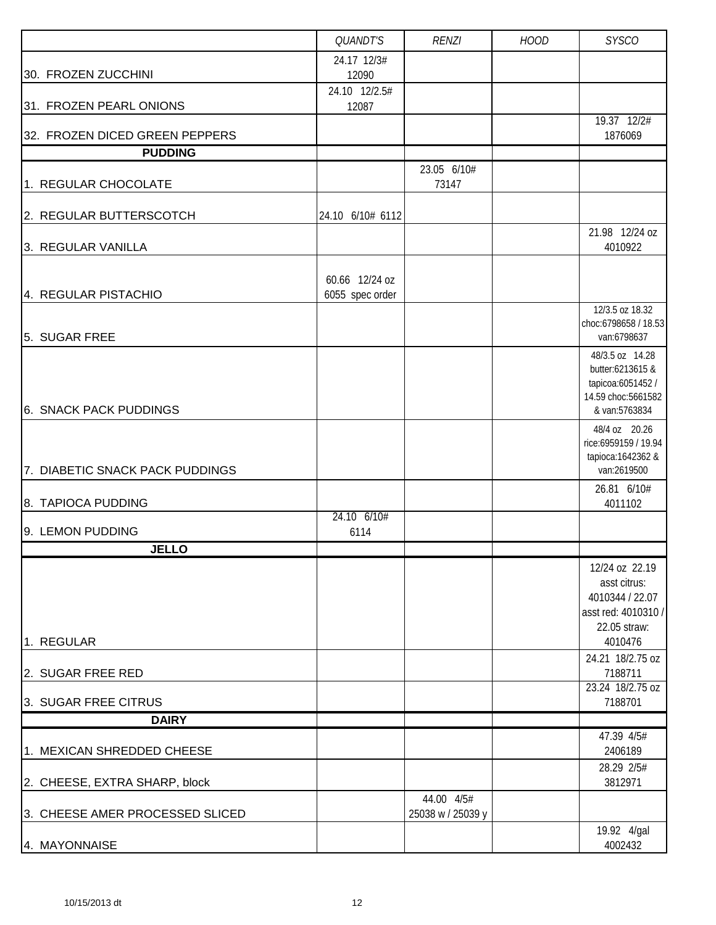|                                 | QUANDT'S                          | <b>RENZI</b>                    | <b>HOOD</b> | <b>SYSCO</b>                                                                                    |
|---------------------------------|-----------------------------------|---------------------------------|-------------|-------------------------------------------------------------------------------------------------|
| 30. FROZEN ZUCCHINI             | 24.17 12/3#<br>12090              |                                 |             |                                                                                                 |
| 31. FROZEN PEARL ONIONS         | 24.10 12/2.5#<br>12087            |                                 |             |                                                                                                 |
| 32. FROZEN DICED GREEN PEPPERS  |                                   |                                 |             | 19.37 12/2#<br>1876069                                                                          |
| <b>PUDDING</b>                  |                                   |                                 |             |                                                                                                 |
| 1. REGULAR CHOCOLATE            |                                   | 23.05 6/10#<br>73147            |             |                                                                                                 |
| 2. REGULAR BUTTERSCOTCH         | 24.10 6/10# 6112                  |                                 |             |                                                                                                 |
| 3. REGULAR VANILLA              |                                   |                                 |             | 21.98 12/24 oz<br>4010922                                                                       |
| 4. REGULAR PISTACHIO            | 60.66 12/24 oz<br>6055 spec order |                                 |             |                                                                                                 |
| 5. SUGAR FREE                   |                                   |                                 |             | 12/3.5 oz 18.32<br>choc:6798658 / 18.53<br>van:6798637                                          |
| 6. SNACK PACK PUDDINGS          |                                   |                                 |             | 48/3.5 oz 14.28<br>butter:6213615 &<br>tapicoa:6051452 /<br>14.59 choc:5661582<br>& van:5763834 |
| 7. DIABETIC SNACK PACK PUDDINGS |                                   |                                 |             | 48/4 oz 20.26<br>rice:6959159 / 19.94<br>tapioca: 1642362 &<br>van:2619500                      |
| 8. TAPIOCA PUDDING              |                                   |                                 |             | 26.81 6/10#<br>4011102                                                                          |
| 9. LEMON PUDDING                | 24.10 6/10#<br>6114               |                                 |             |                                                                                                 |
| <b>JELLO</b>                    |                                   |                                 |             |                                                                                                 |
|                                 |                                   |                                 |             | 12/24 oz 22.19<br>asst citrus:<br>4010344 / 22.07<br>asst red: 4010310 /<br>22.05 straw:        |
| 1. REGULAR                      |                                   |                                 |             | 4010476<br>24.21 18/2.75 oz                                                                     |
| 2. SUGAR FREE RED               |                                   |                                 |             | 7188711<br>23.24 18/2.75 oz                                                                     |
| 3. SUGAR FREE CITRUS            |                                   |                                 |             | 7188701                                                                                         |
| <b>DAIRY</b>                    |                                   |                                 |             |                                                                                                 |
| 1. MEXICAN SHREDDED CHEESE      |                                   |                                 |             | 47.39 4/5#<br>2406189                                                                           |
| 2. CHEESE, EXTRA SHARP, block   |                                   |                                 |             | 28.29 2/5#<br>3812971                                                                           |
| 3. CHEESE AMER PROCESSED SLICED |                                   | 44.00 4/5#<br>25038 w / 25039 y |             |                                                                                                 |
| 4. MAYONNAISE                   |                                   |                                 |             | 19.92 4/gal<br>4002432                                                                          |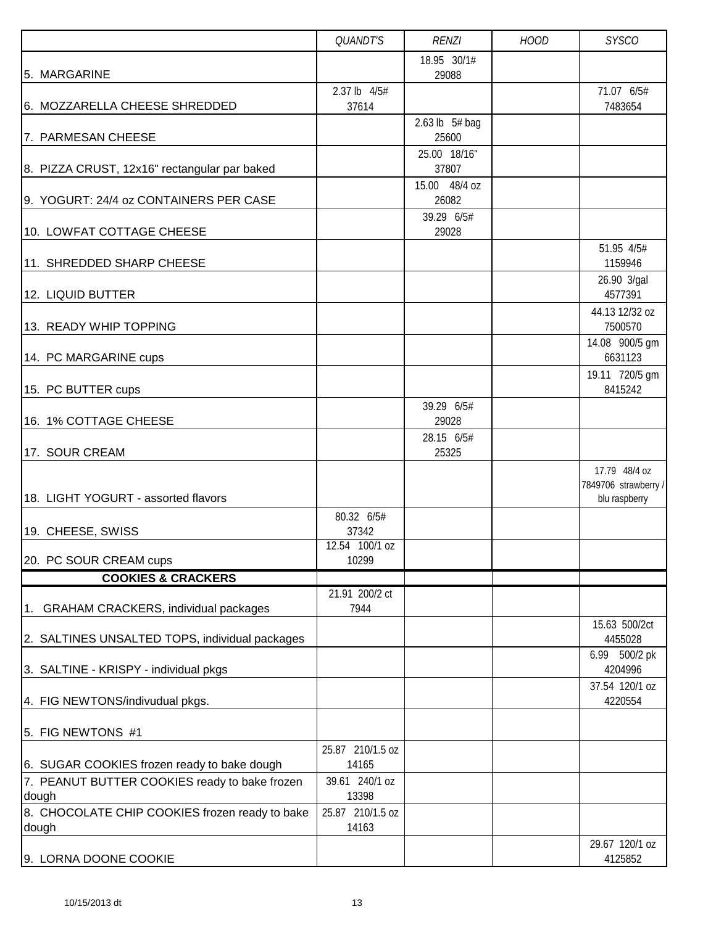|                                                         | QUANDT'S                  | <b>RENZI</b>          | <b>HOOD</b> | <b>SYSCO</b>                          |
|---------------------------------------------------------|---------------------------|-----------------------|-------------|---------------------------------------|
|                                                         |                           | 18.95 30/1#           |             |                                       |
| 5. MARGARINE                                            | 2.37 lb 4/5#              | 29088                 |             | 71.07 6/5#                            |
| 6. MOZZARELLA CHEESE SHREDDED                           | 37614                     |                       |             | 7483654                               |
|                                                         |                           | 2.63 lb $5#$ bag      |             |                                       |
| 7. PARMESAN CHEESE                                      |                           | 25600                 |             |                                       |
| 8. PIZZA CRUST, 12x16" rectangular par baked            |                           | 25.00 18/16"<br>37807 |             |                                       |
|                                                         |                           | 15.00 48/4 oz         |             |                                       |
| 9. YOGURT: 24/4 oz CONTAINERS PER CASE                  |                           | 26082                 |             |                                       |
| 10. LOWFAT COTTAGE CHEESE                               |                           | 39.29 6/5#<br>29028   |             |                                       |
| 11. SHREDDED SHARP CHEESE                               |                           |                       |             | 51.95 4/5#<br>1159946                 |
|                                                         |                           |                       |             | 26.90 3/gal                           |
| 12. LIQUID BUTTER                                       |                           |                       |             | 4577391                               |
|                                                         |                           |                       |             | 44.13 12/32 oz                        |
| 13. READY WHIP TOPPING                                  |                           |                       |             | 7500570                               |
| 14. PC MARGARINE cups                                   |                           |                       |             | 14.08 900/5 gm<br>6631123             |
|                                                         |                           |                       |             | 19.11 720/5 gm<br>8415242             |
| 15. PC BUTTER cups                                      |                           | 39.29 6/5#            |             |                                       |
| 16. 1% COTTAGE CHEESE                                   |                           | 29028                 |             |                                       |
|                                                         |                           | 28.15 6/5#            |             |                                       |
| 17. SOUR CREAM                                          |                           | 25325                 |             |                                       |
|                                                         |                           |                       |             | 17.79 48/4 oz<br>7849706 strawberry / |
| 18. LIGHT YOGURT - assorted flavors                     |                           |                       |             | blu raspberry                         |
|                                                         | 80.32 6/5#                |                       |             |                                       |
| 19. CHEESE, SWISS                                       | 37342<br>12.54 100/1 oz   |                       |             |                                       |
| 20. PC SOUR CREAM cups                                  | 10299                     |                       |             |                                       |
| <b>COOKIES &amp; CRACKERS</b>                           |                           |                       |             |                                       |
|                                                         | 21.91 200/2 ct<br>7944    |                       |             |                                       |
| 1. GRAHAM CRACKERS, individual packages                 |                           |                       |             | 15.63 500/2ct                         |
| 2. SALTINES UNSALTED TOPS, individual packages          |                           |                       |             | 4455028                               |
|                                                         |                           |                       |             | 6.99 500/2 pk                         |
| 3. SALTINE - KRISPY - individual pkgs                   |                           |                       |             | 4204996<br>37.54 120/1 oz             |
| 4. FIG NEWTONS/indivudual pkgs.                         |                           |                       |             | 4220554                               |
| 5. FIG NEWTONS #1                                       |                           |                       |             |                                       |
|                                                         | 25.87 210/1.5 oz          |                       |             |                                       |
| 6. SUGAR COOKIES frozen ready to bake dough             | 14165                     |                       |             |                                       |
| 7. PEANUT BUTTER COOKIES ready to bake frozen<br>dough  | 39.61 240/1 oz<br>13398   |                       |             |                                       |
| 8. CHOCOLATE CHIP COOKIES frozen ready to bake<br>dough | 25.87 210/1.5 oz<br>14163 |                       |             |                                       |
|                                                         |                           |                       |             | 29.67 120/1 oz                        |
| 9. LORNA DOONE COOKIE                                   |                           |                       |             | 4125852                               |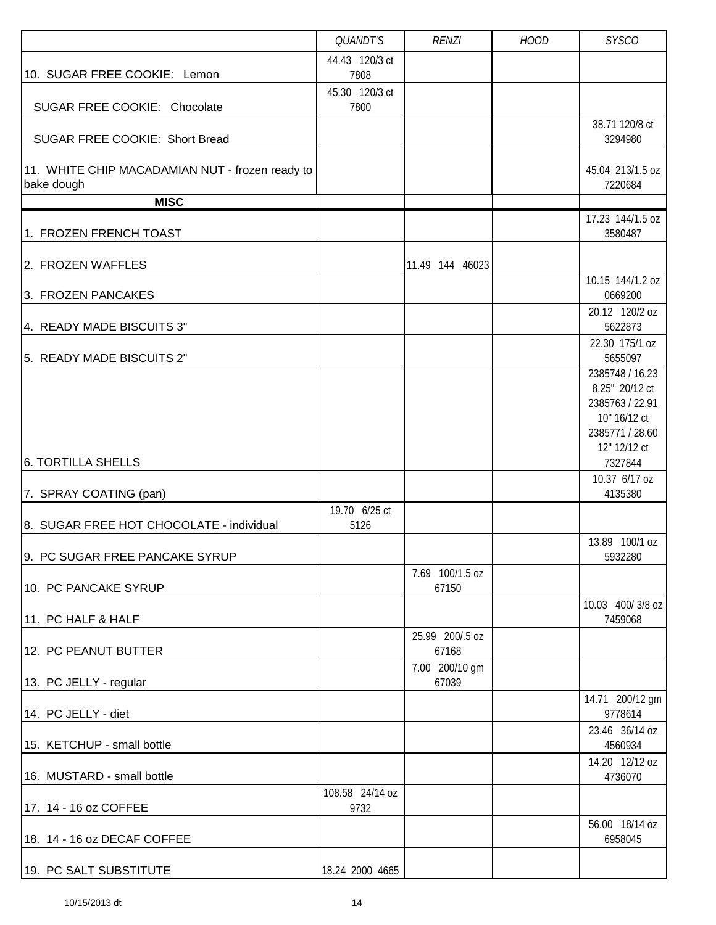|                                                 | QUANDT'S               | <b>RENZI</b>    | <b>HOOD</b> | <b>SYSCO</b>                    |
|-------------------------------------------------|------------------------|-----------------|-------------|---------------------------------|
|                                                 | 44.43 120/3 ct         |                 |             |                                 |
| 10. SUGAR FREE COOKIE: Lemon                    | 7808                   |                 |             |                                 |
| SUGAR FREE COOKIE: Chocolate                    | 45.30 120/3 ct<br>7800 |                 |             |                                 |
|                                                 |                        |                 |             | 38.71 120/8 ct                  |
| SUGAR FREE COOKIE: Short Bread                  |                        |                 |             | 3294980                         |
|                                                 |                        |                 |             |                                 |
| 11. WHITE CHIP MACADAMIAN NUT - frozen ready to |                        |                 |             | 45.04 213/1.5 oz                |
| bake dough<br><b>MISC</b>                       |                        |                 |             | 7220684                         |
|                                                 |                        |                 |             | 17.23 144/1.5 oz                |
| 1. FROZEN FRENCH TOAST                          |                        |                 |             | 3580487                         |
| 2. FROZEN WAFFLES                               |                        |                 |             |                                 |
|                                                 |                        | 11.49 144 46023 |             | 10.15 144/1.2 oz                |
| 3. FROZEN PANCAKES                              |                        |                 |             | 0669200                         |
|                                                 |                        |                 |             | 20.12 120/2 oz                  |
| 4. READY MADE BISCUITS 3"                       |                        |                 |             | 5622873                         |
| 5. READY MADE BISCUITS 2"                       |                        |                 |             | 22.30 175/1 oz<br>5655097       |
|                                                 |                        |                 |             | 2385748 / 16.23                 |
|                                                 |                        |                 |             | 8.25" 20/12 ct                  |
|                                                 |                        |                 |             | 2385763 / 22.91                 |
|                                                 |                        |                 |             | 10" 16/12 ct                    |
|                                                 |                        |                 |             | 2385771 / 28.60<br>12" 12/12 ct |
| <b>6. TORTILLA SHELLS</b>                       |                        |                 |             | 7327844                         |
|                                                 |                        |                 |             | 10.37 6/17 oz                   |
| 7. SPRAY COATING (pan)                          |                        |                 |             | 4135380                         |
|                                                 | 19.70 6/25 ct          |                 |             |                                 |
| 8. SUGAR FREE HOT CHOCOLATE - individual        | 5126                   |                 |             | 13.89 100/1 oz                  |
| 9. PC SUGAR FREE PANCAKE SYRUP                  |                        |                 |             | 5932280                         |
|                                                 |                        | 7.69 100/1.5 oz |             |                                 |
| 10. PC PANCAKE SYRUP                            |                        | 67150           |             |                                 |
| 11. PC HALF & HALF                              |                        |                 |             | 10.03 400/3/8 oz<br>7459068     |
|                                                 |                        | 25.99 200/.5 oz |             |                                 |
| 12. PC PEANUT BUTTER                            |                        | 67168           |             |                                 |
|                                                 |                        | 7.00 200/10 gm  |             |                                 |
| 13. PC JELLY - regular                          |                        | 67039           |             |                                 |
| 14. PC JELLY - diet                             |                        |                 |             | 14.71 200/12 gm<br>9778614      |
|                                                 |                        |                 |             | 23.46 36/14 oz                  |
| 15. KETCHUP - small bottle                      |                        |                 |             | 4560934                         |
|                                                 |                        |                 |             | 14.20 12/12 oz                  |
| 16. MUSTARD - small bottle                      |                        |                 |             | 4736070                         |
|                                                 | 108.58 24/14 oz        |                 |             |                                 |
| 17. 14 - 16 oz COFFEE                           | 9732                   |                 |             | 56.00 18/14 oz                  |
| 18. 14 - 16 oz DECAF COFFEE                     |                        |                 |             | 6958045                         |
|                                                 |                        |                 |             |                                 |
| 19. PC SALT SUBSTITUTE                          | 18.24 2000 4665        |                 |             |                                 |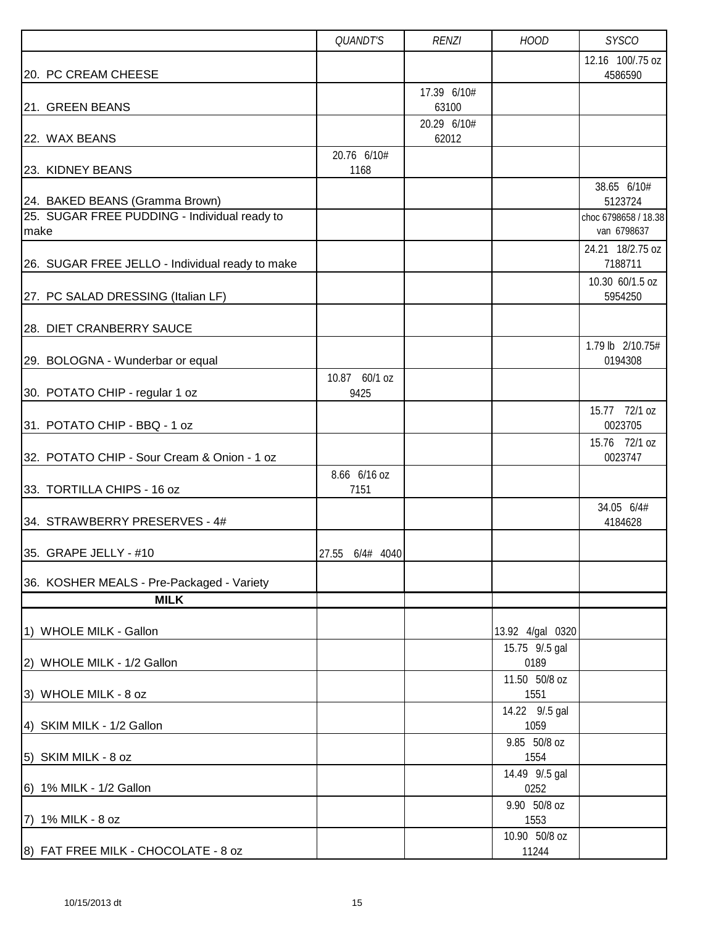|                                                      | QUANDT'S             | <b>RENZI</b>         | <b>HOOD</b>            | <b>SYSCO</b>                        |
|------------------------------------------------------|----------------------|----------------------|------------------------|-------------------------------------|
| 20. PC CREAM CHEESE                                  |                      |                      |                        | 12.16 100/.75 oz<br>4586590         |
|                                                      |                      | 17.39 6/10#          |                        |                                     |
| 21. GREEN BEANS                                      |                      | 63100<br>20.29 6/10# |                        |                                     |
| 22. WAX BEANS                                        |                      | 62012                |                        |                                     |
|                                                      | 20.76 6/10#          |                      |                        |                                     |
| 23. KIDNEY BEANS                                     | 1168                 |                      |                        |                                     |
| 24. BAKED BEANS (Gramma Brown)                       |                      |                      |                        | 38.65 6/10#<br>5123724              |
| 25. SUGAR FREE PUDDING - Individual ready to<br>make |                      |                      |                        | choc 6798658 / 18.38<br>van 6798637 |
| 26. SUGAR FREE JELLO - Individual ready to make      |                      |                      |                        | 24.21 18/2.75 oz<br>7188711         |
| 27. PC SALAD DRESSING (Italian LF)                   |                      |                      |                        | 10.30 60/1.5 oz<br>5954250          |
| 28. DIET CRANBERRY SAUCE                             |                      |                      |                        |                                     |
| 29. BOLOGNA - Wunderbar or equal                     |                      |                      |                        | 1.79 lb 2/10.75#<br>0194308         |
|                                                      | 10.87 60/1 oz        |                      |                        |                                     |
| 30. POTATO CHIP - regular 1 oz                       | 9425                 |                      |                        |                                     |
| 31. POTATO CHIP - BBQ - 1 oz                         |                      |                      |                        | 15.77 72/1 oz<br>0023705            |
| 32. POTATO CHIP - Sour Cream & Onion - 1 oz          |                      |                      |                        | 15.76 72/1 oz<br>0023747            |
| 33. TORTILLA CHIPS - 16 oz                           | 8.66 6/16 oz<br>7151 |                      |                        |                                     |
| 34. STRAWBERRY PRESERVES - 4#                        |                      |                      |                        | 34.05 6/4#<br>4184628               |
| 35. GRAPE JELLY - #10                                | 27.55 6/4# 4040      |                      |                        |                                     |
| 36. KOSHER MEALS - Pre-Packaged - Variety            |                      |                      |                        |                                     |
| <b>MILK</b>                                          |                      |                      |                        |                                     |
| 1) WHOLE MILK - Gallon                               |                      |                      | 13.92 4/gal 0320       |                                     |
|                                                      |                      |                      | 15.75 9/.5 gal         |                                     |
| 2) WHOLE MILK - 1/2 Gallon                           |                      |                      | 0189                   |                                     |
| 3) WHOLE MILK - 8 oz                                 |                      |                      | 11.50 50/8 oz<br>1551  |                                     |
| 4) SKIM MILK - 1/2 Gallon                            |                      |                      | 14.22 9/.5 gal<br>1059 |                                     |
| 5) SKIM MILK - 8 oz                                  |                      |                      | 9.85 50/8 oz<br>1554   |                                     |
| 6) 1% MILK - 1/2 Gallon                              |                      |                      | 14.49 9/.5 gal<br>0252 |                                     |
| 7) 1% MILK - 8 oz                                    |                      |                      | 9.90 50/8 oz<br>1553   |                                     |
| 8) FAT FREE MILK - CHOCOLATE - 8 oz                  |                      |                      | 10.90 50/8 oz<br>11244 |                                     |